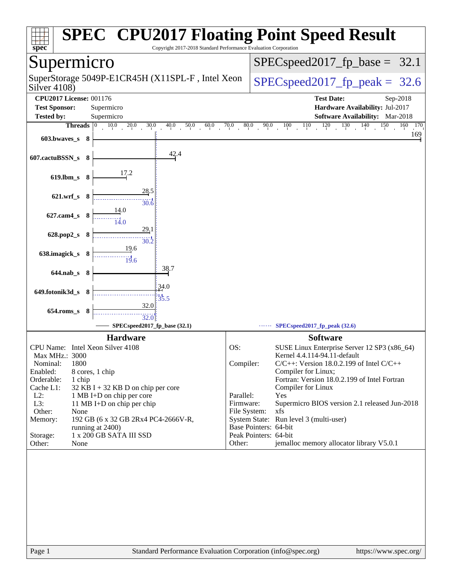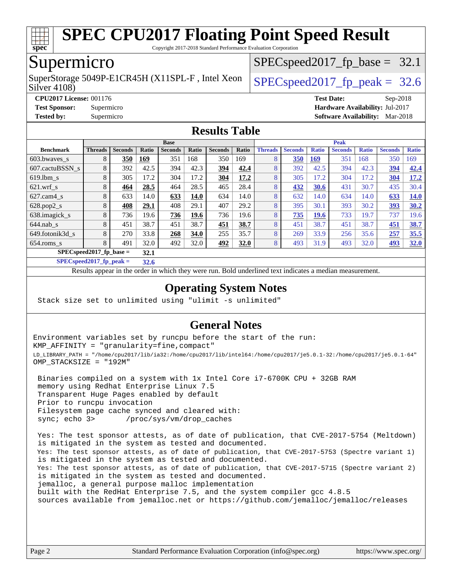

Copyright 2017-2018 Standard Performance Evaluation Corporation

## Supermicro

Silver 4108) SuperStorage 5049P-E1CR45H (X11SPL-F, Intel Xeon  $\big|$  SPECspeed2017 fp\_peak = 32.6

 $SPECspeed2017_fp\_base = 32.1$ 

**[CPU2017 License:](http://www.spec.org/auto/cpu2017/Docs/result-fields.html#CPU2017License)** 001176 **[Test Date:](http://www.spec.org/auto/cpu2017/Docs/result-fields.html#TestDate)** Sep-2018 **[Test Sponsor:](http://www.spec.org/auto/cpu2017/Docs/result-fields.html#TestSponsor)** Supermicro **[Hardware Availability:](http://www.spec.org/auto/cpu2017/Docs/result-fields.html#HardwareAvailability)** Jul-2017 **[Tested by:](http://www.spec.org/auto/cpu2017/Docs/result-fields.html#Testedby)** Supermicro **[Software Availability:](http://www.spec.org/auto/cpu2017/Docs/result-fields.html#SoftwareAvailability)** Mar-2018

### **[Results Table](http://www.spec.org/auto/cpu2017/Docs/result-fields.html#ResultsTable)**

|                            | <b>Base</b>    |                |       |                |       |                |             | <b>Peak</b>    |                |              |                |              |                |              |
|----------------------------|----------------|----------------|-------|----------------|-------|----------------|-------------|----------------|----------------|--------------|----------------|--------------|----------------|--------------|
| <b>Benchmark</b>           | <b>Threads</b> | <b>Seconds</b> | Ratio | <b>Seconds</b> | Ratio | <b>Seconds</b> | Ratio       | <b>Threads</b> | <b>Seconds</b> | <b>Ratio</b> | <b>Seconds</b> | <b>Ratio</b> | <b>Seconds</b> | <b>Ratio</b> |
| 603.bwayes s               | 8              | 350            | 169   | 351            | 168   | 350            | 169         | 8              | 350            | <u>169</u>   | 351            | 168          | 350            | 169          |
| 607.cactuBSSN s            | 8              | 392            | 42.5  | 394            | 42.3  | 394            | 42.4        | 8              | 392            | 42.5         | 394            | 42.3         | 394            | 42.4         |
| $619.1$ bm s               | 8              | 305            | 17.2  | 304            | 17.2  | 304            | 17.2        | 8              | 305            | 17.2         | 304            | 17.2         | 304            | 17.2         |
| $621$ wrf s                | 8              | 464            | 28.5  | 464            | 28.5  | 465            | 28.4        | 8              | 432            | 30.6         | 431            | 30.7         | 435            | 30.4         |
| $627$ .cam4 s              | 8              | 633            | 14.0  | 633            | 14.0  | 634            | 14.0        | 8              | 632            | 14.0         | 634            | 14.0         | 633            | <b>14.0</b>  |
| $628.pop2_s$               | 8              | 408            | 29.1  | 408            | 29.1  | 407            | 29.2        | 8              | 395            | 30.1         | 393            | 30.2         | 393            | 30.2         |
| 638.imagick_s              | 8              | 736            | 19.6  | 736            | 19.6  | 736            | 19.6        | 8              | 735            | 19.6         | 733            | 19.7         | 737            | 19.6         |
| $644$ .nab s               | 8              | 451            | 38.7  | 451            | 38.7  | 451            | 38.7        | 8              | 451            | 38.7         | 451            | 38.7         | 451            | 38.7         |
| 649.fotonik3d s            | 8              | 270            | 33.8  | 268            | 34.0  | 255            | 35.7        | 8              | 269            | 33.9         | 256            | 35.6         | 257            | 35.5         |
| $654$ .roms_s              | 8              | 491            | 32.0  | 492            | 32.0  | 492            | <b>32.0</b> | 8              | 493            | 31.9         | 493            | 32.0         | 493            | 32.0         |
| $SPECspeed2017_fp\_base =$ | 32.1           |                |       |                |       |                |             |                |                |              |                |              |                |              |

**[SPECspeed2017\\_fp\\_peak =](http://www.spec.org/auto/cpu2017/Docs/result-fields.html#SPECspeed2017fppeak) 32.6**

Results appear in the [order in which they were run.](http://www.spec.org/auto/cpu2017/Docs/result-fields.html#RunOrder) Bold underlined text [indicates a median measurement](http://www.spec.org/auto/cpu2017/Docs/result-fields.html#Median).

### **[Operating System Notes](http://www.spec.org/auto/cpu2017/Docs/result-fields.html#OperatingSystemNotes)**

Stack size set to unlimited using "ulimit -s unlimited"

### **[General Notes](http://www.spec.org/auto/cpu2017/Docs/result-fields.html#GeneralNotes)**

Environment variables set by runcpu before the start of the run: KMP\_AFFINITY = "granularity=fine,compact" LD\_LIBRARY\_PATH = "/home/cpu2017/lib/ia32:/home/cpu2017/lib/intel64:/home/cpu2017/je5.0.1-32:/home/cpu2017/je5.0.1-64" OMP\_STACKSIZE = "192M"

 Binaries compiled on a system with 1x Intel Core i7-6700K CPU + 32GB RAM memory using Redhat Enterprise Linux 7.5 Transparent Huge Pages enabled by default Prior to runcpu invocation Filesystem page cache synced and cleared with: sync; echo 3> /proc/sys/vm/drop\_caches

 Yes: The test sponsor attests, as of date of publication, that CVE-2017-5754 (Meltdown) is mitigated in the system as tested and documented. Yes: The test sponsor attests, as of date of publication, that CVE-2017-5753 (Spectre variant 1) is mitigated in the system as tested and documented. Yes: The test sponsor attests, as of date of publication, that CVE-2017-5715 (Spectre variant 2) is mitigated in the system as tested and documented. jemalloc, a general purpose malloc implementation built with the RedHat Enterprise 7.5, and the system compiler gcc 4.8.5 sources available from jemalloc.net or <https://github.com/jemalloc/jemalloc/releases>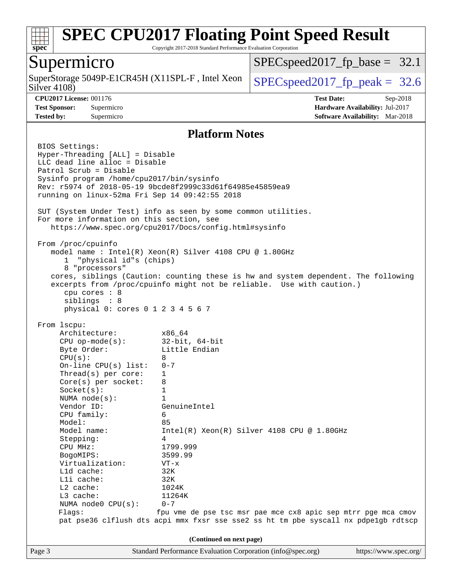

Copyright 2017-2018 Standard Performance Evaluation Corporation

### Supermicro

Silver 4108) SuperStorage 5049P-E1CR45H (X11SPL-F, Intel Xeon  $\Big|$  [SPECspeed2017\\_fp\\_peak =](http://www.spec.org/auto/cpu2017/Docs/result-fields.html#SPECspeed2017fppeak) 32.6

 $SPECspeed2017_fp\_base = 32.1$ 

**[CPU2017 License:](http://www.spec.org/auto/cpu2017/Docs/result-fields.html#CPU2017License)** 001176 **[Test Date:](http://www.spec.org/auto/cpu2017/Docs/result-fields.html#TestDate)** Sep-2018 **[Test Sponsor:](http://www.spec.org/auto/cpu2017/Docs/result-fields.html#TestSponsor)** Supermicro **[Hardware Availability:](http://www.spec.org/auto/cpu2017/Docs/result-fields.html#HardwareAvailability)** Jul-2017 **[Tested by:](http://www.spec.org/auto/cpu2017/Docs/result-fields.html#Testedby)** Supermicro **[Software Availability:](http://www.spec.org/auto/cpu2017/Docs/result-fields.html#SoftwareAvailability)** Mar-2018

### **[Platform Notes](http://www.spec.org/auto/cpu2017/Docs/result-fields.html#PlatformNotes)**

Page 3 Standard Performance Evaluation Corporation [\(info@spec.org\)](mailto:info@spec.org) <https://www.spec.org/> BIOS Settings: Hyper-Threading [ALL] = Disable LLC dead line alloc = Disable Patrol Scrub = Disable Sysinfo program /home/cpu2017/bin/sysinfo Rev: r5974 of 2018-05-19 9bcde8f2999c33d61f64985e45859ea9 running on linux-52ma Fri Sep 14 09:42:55 2018 SUT (System Under Test) info as seen by some common utilities. For more information on this section, see <https://www.spec.org/cpu2017/Docs/config.html#sysinfo> From /proc/cpuinfo model name : Intel(R) Xeon(R) Silver 4108 CPU @ 1.80GHz 1 "physical id"s (chips) 8 "processors" cores, siblings (Caution: counting these is hw and system dependent. The following excerpts from /proc/cpuinfo might not be reliable. Use with caution.) cpu cores : 8 siblings : 8 physical 0: cores 0 1 2 3 4 5 6 7 From lscpu: Architecture: x86\_64 CPU op-mode(s): 32-bit, 64-bit Byte Order: Little Endian  $CPU(s):$  8 On-line CPU(s) list: 0-7 Thread(s) per core: 1 Core(s) per socket: 8 Socket(s): 1 NUMA node(s): 1 Vendor ID: GenuineIntel CPU family: 6 Model: 85 Model name: Intel(R) Xeon(R) Silver 4108 CPU @ 1.80GHz Stepping: 4 CPU MHz: 1799.999<br>BogoMIPS: 3599.99 BogoMIPS: Virtualization: VT-x L1d cache: 32K L1i cache: 32K L2 cache: 1024K<br>
L3 cache: 11264K  $L3$  cache: NUMA node0 CPU(s): 0-7 Flags: fpu vme de pse tsc msr pae mce cx8 apic sep mtrr pge mca cmov pat pse36 clflush dts acpi mmx fxsr sse sse2 ss ht tm pbe syscall nx pdpe1gb rdtscp **(Continued on next page)**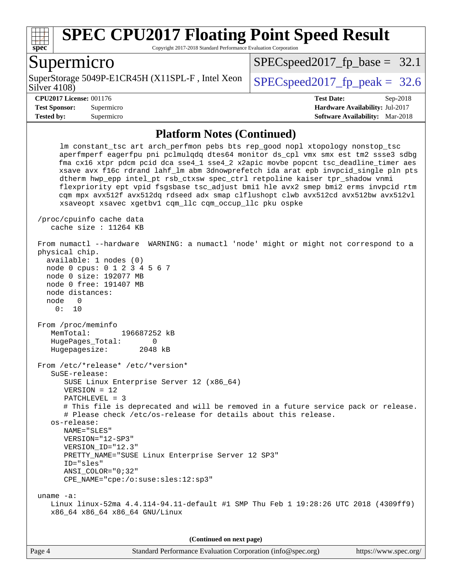

Copyright 2017-2018 Standard Performance Evaluation Corporation

### Supermicro

Silver 4108) SuperStorage 5049P-E1CR45H (X11SPL-F, Intel Xeon  $\big|$  SPECspeed2017 fp\_peak = 32.6

 $SPECspeed2017_fp\_base = 32.1$ 

**[Tested by:](http://www.spec.org/auto/cpu2017/Docs/result-fields.html#Testedby)** Supermicro **[Software Availability:](http://www.spec.org/auto/cpu2017/Docs/result-fields.html#SoftwareAvailability)** Mar-2018

**[CPU2017 License:](http://www.spec.org/auto/cpu2017/Docs/result-fields.html#CPU2017License)** 001176 **[Test Date:](http://www.spec.org/auto/cpu2017/Docs/result-fields.html#TestDate)** Sep-2018 **[Test Sponsor:](http://www.spec.org/auto/cpu2017/Docs/result-fields.html#TestSponsor)** Supermicro **[Hardware Availability:](http://www.spec.org/auto/cpu2017/Docs/result-fields.html#HardwareAvailability)** Jul-2017

#### **[Platform Notes \(Continued\)](http://www.spec.org/auto/cpu2017/Docs/result-fields.html#PlatformNotes)**

 lm constant\_tsc art arch\_perfmon pebs bts rep\_good nopl xtopology nonstop\_tsc aperfmperf eagerfpu pni pclmulqdq dtes64 monitor ds\_cpl vmx smx est tm2 ssse3 sdbg fma cx16 xtpr pdcm pcid dca sse4\_1 sse4\_2 x2apic movbe popcnt tsc\_deadline\_timer aes xsave avx f16c rdrand lahf\_lm abm 3dnowprefetch ida arat epb invpcid\_single pln pts dtherm hwp\_epp intel\_pt rsb\_ctxsw spec\_ctrl retpoline kaiser tpr\_shadow vnmi flexpriority ept vpid fsgsbase tsc\_adjust bmi1 hle avx2 smep bmi2 erms invpcid rtm cqm mpx avx512f avx512dq rdseed adx smap clflushopt clwb avx512cd avx512bw avx512vl xsaveopt xsavec xgetbv1 cqm\_llc cqm\_occup\_llc pku ospke /proc/cpuinfo cache data cache size : 11264 KB From numactl --hardware WARNING: a numactl 'node' might or might not correspond to a physical chip. available: 1 nodes (0) node 0 cpus: 0 1 2 3 4 5 6 7 node 0 size: 192077 MB node 0 free: 191407 MB node distances: node 0 0: 10 From /proc/meminfo MemTotal: 196687252 kB HugePages\_Total: 0 Hugepagesize: 2048 kB From /etc/\*release\* /etc/\*version\* SuSE-release: SUSE Linux Enterprise Server 12 (x86\_64) VERSION = 12 PATCHLEVEL = 3 # This file is deprecated and will be removed in a future service pack or release. # Please check /etc/os-release for details about this release. os-release: NAME="SLES" VERSION="12-SP3" VERSION\_ID="12.3" PRETTY\_NAME="SUSE Linux Enterprise Server 12 SP3" ID="sles" ANSI\_COLOR="0;32" CPE\_NAME="cpe:/o:suse:sles:12:sp3" uname -a: Linux linux-52ma 4.4.114-94.11-default #1 SMP Thu Feb 1 19:28:26 UTC 2018 (4309ff9) x86\_64 x86\_64 x86\_64 GNU/Linux

**(Continued on next page)**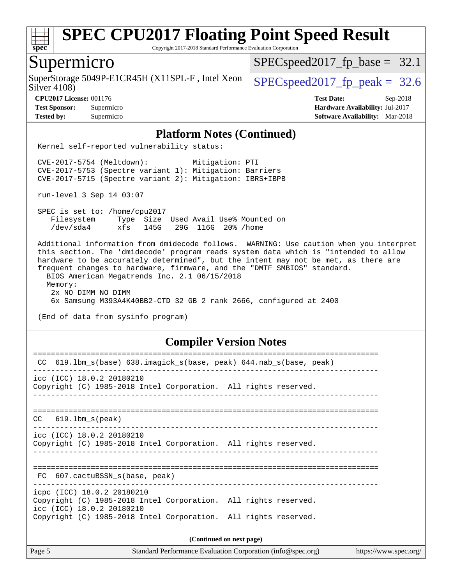

Copyright 2017-2018 Standard Performance Evaluation Corporation

### Supermicro

Silver 4108) SuperStorage 5049P-E1CR45H (X11SPL-F, Intel Xeon  $\Big|$  [SPECspeed2017\\_fp\\_peak =](http://www.spec.org/auto/cpu2017/Docs/result-fields.html#SPECspeed2017fppeak) 32.6

 $SPECspeed2017_fp\_base = 32.1$ 

**[CPU2017 License:](http://www.spec.org/auto/cpu2017/Docs/result-fields.html#CPU2017License)** 001176 **[Test Date:](http://www.spec.org/auto/cpu2017/Docs/result-fields.html#TestDate)** Sep-2018 **[Test Sponsor:](http://www.spec.org/auto/cpu2017/Docs/result-fields.html#TestSponsor)** Supermicro **[Hardware Availability:](http://www.spec.org/auto/cpu2017/Docs/result-fields.html#HardwareAvailability)** Jul-2017 **[Tested by:](http://www.spec.org/auto/cpu2017/Docs/result-fields.html#Testedby)** Supermicro **[Software Availability:](http://www.spec.org/auto/cpu2017/Docs/result-fields.html#SoftwareAvailability)** Mar-2018

#### **[Platform Notes \(Continued\)](http://www.spec.org/auto/cpu2017/Docs/result-fields.html#PlatformNotes)**

Kernel self-reported vulnerability status:

 CVE-2017-5754 (Meltdown): Mitigation: PTI CVE-2017-5753 (Spectre variant 1): Mitigation: Barriers CVE-2017-5715 (Spectre variant 2): Mitigation: IBRS+IBPB

run-level 3 Sep 14 03:07

 SPEC is set to: /home/cpu2017 Filesystem Type Size Used Avail Use% Mounted on /dev/sda4 xfs 145G 29G 116G 20% /home

 Additional information from dmidecode follows. WARNING: Use caution when you interpret this section. The 'dmidecode' program reads system data which is "intended to allow hardware to be accurately determined", but the intent may not be met, as there are frequent changes to hardware, firmware, and the "DMTF SMBIOS" standard. BIOS American Megatrends Inc. 2.1 06/15/2018 Memory: 2x NO DIMM NO DIMM 6x Samsung M393A4K40BB2-CTD 32 GB 2 rank 2666, configured at 2400

(End of data from sysinfo program)

### **[Compiler Version Notes](http://www.spec.org/auto/cpu2017/Docs/result-fields.html#CompilerVersionNotes)**

| CC 619.1bm_s(base) 638.imagick_s(base, peak) 644.nab_s(base, peak)                           |  |  |  |  |  |  |
|----------------------------------------------------------------------------------------------|--|--|--|--|--|--|
| icc (ICC) 18.0.2 20180210                                                                    |  |  |  |  |  |  |
| Copyright (C) 1985-2018 Intel Corporation. All rights reserved.                              |  |  |  |  |  |  |
|                                                                                              |  |  |  |  |  |  |
|                                                                                              |  |  |  |  |  |  |
| $CC$ 619.1bm $s$ (peak)                                                                      |  |  |  |  |  |  |
| icc (ICC) 18.0.2 20180210                                                                    |  |  |  |  |  |  |
| Copyright (C) 1985-2018 Intel Corporation. All rights reserved.                              |  |  |  |  |  |  |
|                                                                                              |  |  |  |  |  |  |
|                                                                                              |  |  |  |  |  |  |
| FC 607.cactuBSSN s(base, peak)                                                               |  |  |  |  |  |  |
| icpc (ICC) 18.0.2 20180210                                                                   |  |  |  |  |  |  |
| Copyright (C) 1985-2018 Intel Corporation. All rights reserved.                              |  |  |  |  |  |  |
| icc (ICC) 18.0.2 20180210<br>Copyright (C) 1985-2018 Intel Corporation. All rights reserved. |  |  |  |  |  |  |
|                                                                                              |  |  |  |  |  |  |
| (Continued on next page)                                                                     |  |  |  |  |  |  |

Page 5 Standard Performance Evaluation Corporation [\(info@spec.org\)](mailto:info@spec.org) <https://www.spec.org/>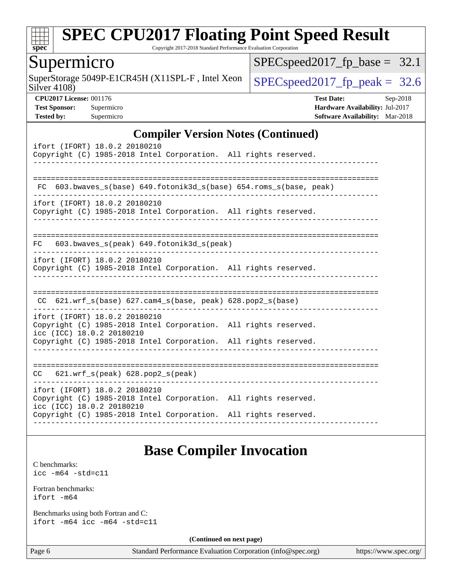

Copyright 2017-2018 Standard Performance Evaluation Corporation

### Supermicro

Silver 4108) SuperStorage 5049P-E1CR45H (X11SPL-F, Intel Xeon  $\left|$  [SPECspeed2017\\_fp\\_peak =](http://www.spec.org/auto/cpu2017/Docs/result-fields.html#SPECspeed2017fppeak) 32.6

[SPECspeed2017\\_fp\\_base =](http://www.spec.org/auto/cpu2017/Docs/result-fields.html#SPECspeed2017fpbase) 32.1

**[CPU2017 License:](http://www.spec.org/auto/cpu2017/Docs/result-fields.html#CPU2017License)** 001176 **[Test Date:](http://www.spec.org/auto/cpu2017/Docs/result-fields.html#TestDate)** Sep-2018 **[Test Sponsor:](http://www.spec.org/auto/cpu2017/Docs/result-fields.html#TestSponsor)** Supermicro **[Hardware Availability:](http://www.spec.org/auto/cpu2017/Docs/result-fields.html#HardwareAvailability)** Jul-2017 **[Tested by:](http://www.spec.org/auto/cpu2017/Docs/result-fields.html#Testedby)** Supermicro **[Software Availability:](http://www.spec.org/auto/cpu2017/Docs/result-fields.html#SoftwareAvailability)** Mar-2018

### **[Compiler Version Notes \(Continued\)](http://www.spec.org/auto/cpu2017/Docs/result-fields.html#CompilerVersionNotes)**

| ifort (IFORT) 18.0.2 20180210<br>Copyright (C) 1985-2018 Intel Corporation. All rights reserved.<br>______________________________                                                                                      |
|-------------------------------------------------------------------------------------------------------------------------------------------------------------------------------------------------------------------------|
| FC 603.bwaves s(base) 649.fotonik3d s(base) 654.roms s(base, peak)                                                                                                                                                      |
| ifort (IFORT) 18.0.2 20180210<br>Copyright (C) 1985-2018 Intel Corporation. All rights reserved.                                                                                                                        |
| 603.bwaves_s(peak) 649.fotonik3d_s(peak)<br>FC<br>----------------------------------                                                                                                                                    |
| ifort (IFORT) 18.0.2 20180210<br>Copyright (C) 1985-2018 Intel Corporation. All rights reserved.                                                                                                                        |
| -------------------------------<br>$CC$ 621.wrf_s(base) 627.cam4_s(base, peak) 628.pop2_s(base)                                                                                                                         |
| ifort (IFORT) 18.0.2 20180210<br>Copyright (C) 1985-2018 Intel Corporation. All rights reserved.<br>icc (ICC) 18.0.2 20180210                                                                                           |
| Copyright (C) 1985-2018 Intel Corporation. All rights reserved.                                                                                                                                                         |
| $CC$ 621.wrf $s(\text{peak})$ 628.pop2 $s(\text{peak})$                                                                                                                                                                 |
| ifort (IFORT) 18.0.2 20180210<br>Copyright (C) 1985-2018 Intel Corporation. All rights reserved.<br>icc (ICC) 18.0.2 20180210<br>Copyright (C) 1985-2018 Intel Corporation. All rights reserved.<br>------------------- |

## **[Base Compiler Invocation](http://www.spec.org/auto/cpu2017/Docs/result-fields.html#BaseCompilerInvocation)**

[C benchmarks](http://www.spec.org/auto/cpu2017/Docs/result-fields.html#Cbenchmarks): [icc -m64 -std=c11](http://www.spec.org/cpu2017/results/res2018q4/cpu2017-20181002-09040.flags.html#user_CCbase_intel_icc_64bit_c11_33ee0cdaae7deeeab2a9725423ba97205ce30f63b9926c2519791662299b76a0318f32ddfffdc46587804de3178b4f9328c46fa7c2b0cd779d7a61945c91cd35)

[Fortran benchmarks](http://www.spec.org/auto/cpu2017/Docs/result-fields.html#Fortranbenchmarks): [ifort -m64](http://www.spec.org/cpu2017/results/res2018q4/cpu2017-20181002-09040.flags.html#user_FCbase_intel_ifort_64bit_24f2bb282fbaeffd6157abe4f878425411749daecae9a33200eee2bee2fe76f3b89351d69a8130dd5949958ce389cf37ff59a95e7a40d588e8d3a57e0c3fd751)

[Benchmarks using both Fortran and C](http://www.spec.org/auto/cpu2017/Docs/result-fields.html#BenchmarksusingbothFortranandC): [ifort -m64](http://www.spec.org/cpu2017/results/res2018q4/cpu2017-20181002-09040.flags.html#user_CC_FCbase_intel_ifort_64bit_24f2bb282fbaeffd6157abe4f878425411749daecae9a33200eee2bee2fe76f3b89351d69a8130dd5949958ce389cf37ff59a95e7a40d588e8d3a57e0c3fd751) [icc -m64 -std=c11](http://www.spec.org/cpu2017/results/res2018q4/cpu2017-20181002-09040.flags.html#user_CC_FCbase_intel_icc_64bit_c11_33ee0cdaae7deeeab2a9725423ba97205ce30f63b9926c2519791662299b76a0318f32ddfffdc46587804de3178b4f9328c46fa7c2b0cd779d7a61945c91cd35)

**(Continued on next page)**

Page 6 Standard Performance Evaluation Corporation [\(info@spec.org\)](mailto:info@spec.org) <https://www.spec.org/>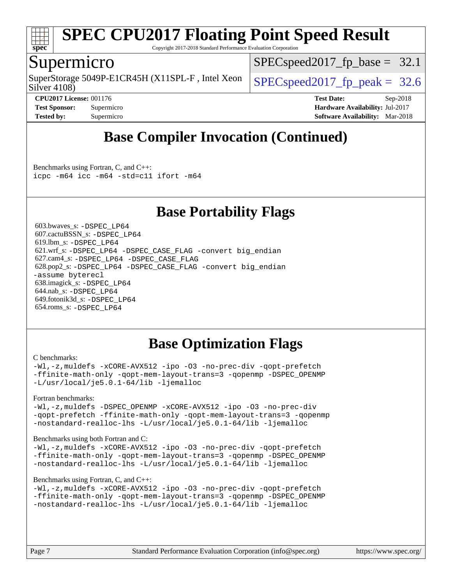

Copyright 2017-2018 Standard Performance Evaluation Corporation

## Supermicro

Silver 4108) SuperStorage 5049P-E1CR45H (X11SPL-F, Intel Xeon  $\big|$  SPECspeed2017 fp\_peak = 32.6

 $SPECspeed2017_fp\_base = 32.1$ 

**[CPU2017 License:](http://www.spec.org/auto/cpu2017/Docs/result-fields.html#CPU2017License)** 001176 **[Test Date:](http://www.spec.org/auto/cpu2017/Docs/result-fields.html#TestDate)** Sep-2018 **[Test Sponsor:](http://www.spec.org/auto/cpu2017/Docs/result-fields.html#TestSponsor)** Supermicro **[Hardware Availability:](http://www.spec.org/auto/cpu2017/Docs/result-fields.html#HardwareAvailability)** Jul-2017 **[Tested by:](http://www.spec.org/auto/cpu2017/Docs/result-fields.html#Testedby)** Supermicro **[Software Availability:](http://www.spec.org/auto/cpu2017/Docs/result-fields.html#SoftwareAvailability)** Mar-2018

## **[Base Compiler Invocation \(Continued\)](http://www.spec.org/auto/cpu2017/Docs/result-fields.html#BaseCompilerInvocation)**

[Benchmarks using Fortran, C, and C++:](http://www.spec.org/auto/cpu2017/Docs/result-fields.html#BenchmarksusingFortranCandCXX) [icpc -m64](http://www.spec.org/cpu2017/results/res2018q4/cpu2017-20181002-09040.flags.html#user_CC_CXX_FCbase_intel_icpc_64bit_4ecb2543ae3f1412ef961e0650ca070fec7b7afdcd6ed48761b84423119d1bf6bdf5cad15b44d48e7256388bc77273b966e5eb805aefd121eb22e9299b2ec9d9) [icc -m64 -std=c11](http://www.spec.org/cpu2017/results/res2018q4/cpu2017-20181002-09040.flags.html#user_CC_CXX_FCbase_intel_icc_64bit_c11_33ee0cdaae7deeeab2a9725423ba97205ce30f63b9926c2519791662299b76a0318f32ddfffdc46587804de3178b4f9328c46fa7c2b0cd779d7a61945c91cd35) [ifort -m64](http://www.spec.org/cpu2017/results/res2018q4/cpu2017-20181002-09040.flags.html#user_CC_CXX_FCbase_intel_ifort_64bit_24f2bb282fbaeffd6157abe4f878425411749daecae9a33200eee2bee2fe76f3b89351d69a8130dd5949958ce389cf37ff59a95e7a40d588e8d3a57e0c3fd751)

## **[Base Portability Flags](http://www.spec.org/auto/cpu2017/Docs/result-fields.html#BasePortabilityFlags)**

 603.bwaves\_s: [-DSPEC\\_LP64](http://www.spec.org/cpu2017/results/res2018q4/cpu2017-20181002-09040.flags.html#suite_basePORTABILITY603_bwaves_s_DSPEC_LP64) 607.cactuBSSN\_s: [-DSPEC\\_LP64](http://www.spec.org/cpu2017/results/res2018q4/cpu2017-20181002-09040.flags.html#suite_basePORTABILITY607_cactuBSSN_s_DSPEC_LP64) 619.lbm\_s: [-DSPEC\\_LP64](http://www.spec.org/cpu2017/results/res2018q4/cpu2017-20181002-09040.flags.html#suite_basePORTABILITY619_lbm_s_DSPEC_LP64) 621.wrf\_s: [-DSPEC\\_LP64](http://www.spec.org/cpu2017/results/res2018q4/cpu2017-20181002-09040.flags.html#suite_basePORTABILITY621_wrf_s_DSPEC_LP64) [-DSPEC\\_CASE\\_FLAG](http://www.spec.org/cpu2017/results/res2018q4/cpu2017-20181002-09040.flags.html#b621.wrf_s_baseCPORTABILITY_DSPEC_CASE_FLAG) [-convert big\\_endian](http://www.spec.org/cpu2017/results/res2018q4/cpu2017-20181002-09040.flags.html#user_baseFPORTABILITY621_wrf_s_convert_big_endian_c3194028bc08c63ac5d04de18c48ce6d347e4e562e8892b8bdbdc0214820426deb8554edfa529a3fb25a586e65a3d812c835984020483e7e73212c4d31a38223) 627.cam4\_s: [-DSPEC\\_LP64](http://www.spec.org/cpu2017/results/res2018q4/cpu2017-20181002-09040.flags.html#suite_basePORTABILITY627_cam4_s_DSPEC_LP64) [-DSPEC\\_CASE\\_FLAG](http://www.spec.org/cpu2017/results/res2018q4/cpu2017-20181002-09040.flags.html#b627.cam4_s_baseCPORTABILITY_DSPEC_CASE_FLAG) 628.pop2\_s: [-DSPEC\\_LP64](http://www.spec.org/cpu2017/results/res2018q4/cpu2017-20181002-09040.flags.html#suite_basePORTABILITY628_pop2_s_DSPEC_LP64) [-DSPEC\\_CASE\\_FLAG](http://www.spec.org/cpu2017/results/res2018q4/cpu2017-20181002-09040.flags.html#b628.pop2_s_baseCPORTABILITY_DSPEC_CASE_FLAG) [-convert big\\_endian](http://www.spec.org/cpu2017/results/res2018q4/cpu2017-20181002-09040.flags.html#user_baseFPORTABILITY628_pop2_s_convert_big_endian_c3194028bc08c63ac5d04de18c48ce6d347e4e562e8892b8bdbdc0214820426deb8554edfa529a3fb25a586e65a3d812c835984020483e7e73212c4d31a38223) [-assume byterecl](http://www.spec.org/cpu2017/results/res2018q4/cpu2017-20181002-09040.flags.html#user_baseFPORTABILITY628_pop2_s_assume_byterecl_7e47d18b9513cf18525430bbf0f2177aa9bf368bc7a059c09b2c06a34b53bd3447c950d3f8d6c70e3faf3a05c8557d66a5798b567902e8849adc142926523472) 638.imagick\_s: [-DSPEC\\_LP64](http://www.spec.org/cpu2017/results/res2018q4/cpu2017-20181002-09040.flags.html#suite_basePORTABILITY638_imagick_s_DSPEC_LP64) 644.nab\_s: [-DSPEC\\_LP64](http://www.spec.org/cpu2017/results/res2018q4/cpu2017-20181002-09040.flags.html#suite_basePORTABILITY644_nab_s_DSPEC_LP64) 649.fotonik3d\_s: [-DSPEC\\_LP64](http://www.spec.org/cpu2017/results/res2018q4/cpu2017-20181002-09040.flags.html#suite_basePORTABILITY649_fotonik3d_s_DSPEC_LP64) 654.roms\_s: [-DSPEC\\_LP64](http://www.spec.org/cpu2017/results/res2018q4/cpu2017-20181002-09040.flags.html#suite_basePORTABILITY654_roms_s_DSPEC_LP64)

## **[Base Optimization Flags](http://www.spec.org/auto/cpu2017/Docs/result-fields.html#BaseOptimizationFlags)**

#### [C benchmarks](http://www.spec.org/auto/cpu2017/Docs/result-fields.html#Cbenchmarks):

[-Wl,-z,muldefs](http://www.spec.org/cpu2017/results/res2018q4/cpu2017-20181002-09040.flags.html#user_CCbase_link_force_multiple1_b4cbdb97b34bdee9ceefcfe54f4c8ea74255f0b02a4b23e853cdb0e18eb4525ac79b5a88067c842dd0ee6996c24547a27a4b99331201badda8798ef8a743f577) [-xCORE-AVX512](http://www.spec.org/cpu2017/results/res2018q4/cpu2017-20181002-09040.flags.html#user_CCbase_f-xCORE-AVX512) [-ipo](http://www.spec.org/cpu2017/results/res2018q4/cpu2017-20181002-09040.flags.html#user_CCbase_f-ipo) [-O3](http://www.spec.org/cpu2017/results/res2018q4/cpu2017-20181002-09040.flags.html#user_CCbase_f-O3) [-no-prec-div](http://www.spec.org/cpu2017/results/res2018q4/cpu2017-20181002-09040.flags.html#user_CCbase_f-no-prec-div) [-qopt-prefetch](http://www.spec.org/cpu2017/results/res2018q4/cpu2017-20181002-09040.flags.html#user_CCbase_f-qopt-prefetch) [-ffinite-math-only](http://www.spec.org/cpu2017/results/res2018q4/cpu2017-20181002-09040.flags.html#user_CCbase_f_finite_math_only_cb91587bd2077682c4b38af759c288ed7c732db004271a9512da14a4f8007909a5f1427ecbf1a0fb78ff2a814402c6114ac565ca162485bbcae155b5e4258871) [-qopt-mem-layout-trans=3](http://www.spec.org/cpu2017/results/res2018q4/cpu2017-20181002-09040.flags.html#user_CCbase_f-qopt-mem-layout-trans_de80db37974c74b1f0e20d883f0b675c88c3b01e9d123adea9b28688d64333345fb62bc4a798493513fdb68f60282f9a726aa07f478b2f7113531aecce732043) [-qopenmp](http://www.spec.org/cpu2017/results/res2018q4/cpu2017-20181002-09040.flags.html#user_CCbase_qopenmp_16be0c44f24f464004c6784a7acb94aca937f053568ce72f94b139a11c7c168634a55f6653758ddd83bcf7b8463e8028bb0b48b77bcddc6b78d5d95bb1df2967) [-DSPEC\\_OPENMP](http://www.spec.org/cpu2017/results/res2018q4/cpu2017-20181002-09040.flags.html#suite_CCbase_DSPEC_OPENMP) [-L/usr/local/je5.0.1-64/lib](http://www.spec.org/cpu2017/results/res2018q4/cpu2017-20181002-09040.flags.html#user_CCbase_jemalloc_link_path64_4b10a636b7bce113509b17f3bd0d6226c5fb2346b9178c2d0232c14f04ab830f976640479e5c33dc2bcbbdad86ecfb6634cbbd4418746f06f368b512fced5394) [-ljemalloc](http://www.spec.org/cpu2017/results/res2018q4/cpu2017-20181002-09040.flags.html#user_CCbase_jemalloc_link_lib_d1249b907c500fa1c0672f44f562e3d0f79738ae9e3c4a9c376d49f265a04b9c99b167ecedbf6711b3085be911c67ff61f150a17b3472be731631ba4d0471706)

#### [Fortran benchmarks](http://www.spec.org/auto/cpu2017/Docs/result-fields.html#Fortranbenchmarks):

[-Wl,-z,muldefs](http://www.spec.org/cpu2017/results/res2018q4/cpu2017-20181002-09040.flags.html#user_FCbase_link_force_multiple1_b4cbdb97b34bdee9ceefcfe54f4c8ea74255f0b02a4b23e853cdb0e18eb4525ac79b5a88067c842dd0ee6996c24547a27a4b99331201badda8798ef8a743f577) [-DSPEC\\_OPENMP](http://www.spec.org/cpu2017/results/res2018q4/cpu2017-20181002-09040.flags.html#suite_FCbase_DSPEC_OPENMP) [-xCORE-AVX512](http://www.spec.org/cpu2017/results/res2018q4/cpu2017-20181002-09040.flags.html#user_FCbase_f-xCORE-AVX512) [-ipo](http://www.spec.org/cpu2017/results/res2018q4/cpu2017-20181002-09040.flags.html#user_FCbase_f-ipo) [-O3](http://www.spec.org/cpu2017/results/res2018q4/cpu2017-20181002-09040.flags.html#user_FCbase_f-O3) [-no-prec-div](http://www.spec.org/cpu2017/results/res2018q4/cpu2017-20181002-09040.flags.html#user_FCbase_f-no-prec-div) [-qopt-prefetch](http://www.spec.org/cpu2017/results/res2018q4/cpu2017-20181002-09040.flags.html#user_FCbase_f-qopt-prefetch) [-ffinite-math-only](http://www.spec.org/cpu2017/results/res2018q4/cpu2017-20181002-09040.flags.html#user_FCbase_f_finite_math_only_cb91587bd2077682c4b38af759c288ed7c732db004271a9512da14a4f8007909a5f1427ecbf1a0fb78ff2a814402c6114ac565ca162485bbcae155b5e4258871) [-qopt-mem-layout-trans=3](http://www.spec.org/cpu2017/results/res2018q4/cpu2017-20181002-09040.flags.html#user_FCbase_f-qopt-mem-layout-trans_de80db37974c74b1f0e20d883f0b675c88c3b01e9d123adea9b28688d64333345fb62bc4a798493513fdb68f60282f9a726aa07f478b2f7113531aecce732043) [-qopenmp](http://www.spec.org/cpu2017/results/res2018q4/cpu2017-20181002-09040.flags.html#user_FCbase_qopenmp_16be0c44f24f464004c6784a7acb94aca937f053568ce72f94b139a11c7c168634a55f6653758ddd83bcf7b8463e8028bb0b48b77bcddc6b78d5d95bb1df2967) [-nostandard-realloc-lhs](http://www.spec.org/cpu2017/results/res2018q4/cpu2017-20181002-09040.flags.html#user_FCbase_f_2003_std_realloc_82b4557e90729c0f113870c07e44d33d6f5a304b4f63d4c15d2d0f1fab99f5daaed73bdb9275d9ae411527f28b936061aa8b9c8f2d63842963b95c9dd6426b8a) [-L/usr/local/je5.0.1-64/lib](http://www.spec.org/cpu2017/results/res2018q4/cpu2017-20181002-09040.flags.html#user_FCbase_jemalloc_link_path64_4b10a636b7bce113509b17f3bd0d6226c5fb2346b9178c2d0232c14f04ab830f976640479e5c33dc2bcbbdad86ecfb6634cbbd4418746f06f368b512fced5394) [-ljemalloc](http://www.spec.org/cpu2017/results/res2018q4/cpu2017-20181002-09040.flags.html#user_FCbase_jemalloc_link_lib_d1249b907c500fa1c0672f44f562e3d0f79738ae9e3c4a9c376d49f265a04b9c99b167ecedbf6711b3085be911c67ff61f150a17b3472be731631ba4d0471706)

#### [Benchmarks using both Fortran and C](http://www.spec.org/auto/cpu2017/Docs/result-fields.html#BenchmarksusingbothFortranandC):

[-Wl,-z,muldefs](http://www.spec.org/cpu2017/results/res2018q4/cpu2017-20181002-09040.flags.html#user_CC_FCbase_link_force_multiple1_b4cbdb97b34bdee9ceefcfe54f4c8ea74255f0b02a4b23e853cdb0e18eb4525ac79b5a88067c842dd0ee6996c24547a27a4b99331201badda8798ef8a743f577) [-xCORE-AVX512](http://www.spec.org/cpu2017/results/res2018q4/cpu2017-20181002-09040.flags.html#user_CC_FCbase_f-xCORE-AVX512) [-ipo](http://www.spec.org/cpu2017/results/res2018q4/cpu2017-20181002-09040.flags.html#user_CC_FCbase_f-ipo) [-O3](http://www.spec.org/cpu2017/results/res2018q4/cpu2017-20181002-09040.flags.html#user_CC_FCbase_f-O3) [-no-prec-div](http://www.spec.org/cpu2017/results/res2018q4/cpu2017-20181002-09040.flags.html#user_CC_FCbase_f-no-prec-div) [-qopt-prefetch](http://www.spec.org/cpu2017/results/res2018q4/cpu2017-20181002-09040.flags.html#user_CC_FCbase_f-qopt-prefetch) [-ffinite-math-only](http://www.spec.org/cpu2017/results/res2018q4/cpu2017-20181002-09040.flags.html#user_CC_FCbase_f_finite_math_only_cb91587bd2077682c4b38af759c288ed7c732db004271a9512da14a4f8007909a5f1427ecbf1a0fb78ff2a814402c6114ac565ca162485bbcae155b5e4258871) [-qopt-mem-layout-trans=3](http://www.spec.org/cpu2017/results/res2018q4/cpu2017-20181002-09040.flags.html#user_CC_FCbase_f-qopt-mem-layout-trans_de80db37974c74b1f0e20d883f0b675c88c3b01e9d123adea9b28688d64333345fb62bc4a798493513fdb68f60282f9a726aa07f478b2f7113531aecce732043) [-qopenmp](http://www.spec.org/cpu2017/results/res2018q4/cpu2017-20181002-09040.flags.html#user_CC_FCbase_qopenmp_16be0c44f24f464004c6784a7acb94aca937f053568ce72f94b139a11c7c168634a55f6653758ddd83bcf7b8463e8028bb0b48b77bcddc6b78d5d95bb1df2967) [-DSPEC\\_OPENMP](http://www.spec.org/cpu2017/results/res2018q4/cpu2017-20181002-09040.flags.html#suite_CC_FCbase_DSPEC_OPENMP) [-nostandard-realloc-lhs](http://www.spec.org/cpu2017/results/res2018q4/cpu2017-20181002-09040.flags.html#user_CC_FCbase_f_2003_std_realloc_82b4557e90729c0f113870c07e44d33d6f5a304b4f63d4c15d2d0f1fab99f5daaed73bdb9275d9ae411527f28b936061aa8b9c8f2d63842963b95c9dd6426b8a) [-L/usr/local/je5.0.1-64/lib](http://www.spec.org/cpu2017/results/res2018q4/cpu2017-20181002-09040.flags.html#user_CC_FCbase_jemalloc_link_path64_4b10a636b7bce113509b17f3bd0d6226c5fb2346b9178c2d0232c14f04ab830f976640479e5c33dc2bcbbdad86ecfb6634cbbd4418746f06f368b512fced5394) [-ljemalloc](http://www.spec.org/cpu2017/results/res2018q4/cpu2017-20181002-09040.flags.html#user_CC_FCbase_jemalloc_link_lib_d1249b907c500fa1c0672f44f562e3d0f79738ae9e3c4a9c376d49f265a04b9c99b167ecedbf6711b3085be911c67ff61f150a17b3472be731631ba4d0471706)

#### [Benchmarks using Fortran, C, and C++:](http://www.spec.org/auto/cpu2017/Docs/result-fields.html#BenchmarksusingFortranCandCXX)

```
-Wl,-z,muldefs -xCORE-AVX512 -ipo -O3 -no-prec-div -qopt-prefetch
-ffinite-math-only -qopt-mem-layout-trans=3 -qopenmp -DSPEC_OPENMP
-nostandard-realloc-lhs -L/usr/local/je5.0.1-64/lib -ljemalloc
```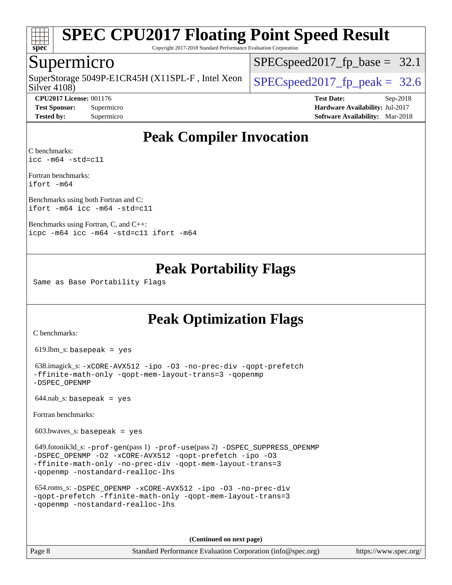

Copyright 2017-2018 Standard Performance Evaluation Corporation

### Supermicro

Silver 4108) SuperStorage 5049P-E1CR45H (X11SPL-F, Intel Xeon  $\big|$  SPECspeed2017 fp\_peak = 32.6

 $SPECspeed2017_fp\_base = 32.1$ 

**[CPU2017 License:](http://www.spec.org/auto/cpu2017/Docs/result-fields.html#CPU2017License)** 001176 **[Test Date:](http://www.spec.org/auto/cpu2017/Docs/result-fields.html#TestDate)** Sep-2018 **[Test Sponsor:](http://www.spec.org/auto/cpu2017/Docs/result-fields.html#TestSponsor)** Supermicro **[Hardware Availability:](http://www.spec.org/auto/cpu2017/Docs/result-fields.html#HardwareAvailability)** Jul-2017 **[Tested by:](http://www.spec.org/auto/cpu2017/Docs/result-fields.html#Testedby)** Supermicro **[Software Availability:](http://www.spec.org/auto/cpu2017/Docs/result-fields.html#SoftwareAvailability)** Mar-2018

## **[Peak Compiler Invocation](http://www.spec.org/auto/cpu2017/Docs/result-fields.html#PeakCompilerInvocation)**

[C benchmarks](http://www.spec.org/auto/cpu2017/Docs/result-fields.html#Cbenchmarks): [icc -m64 -std=c11](http://www.spec.org/cpu2017/results/res2018q4/cpu2017-20181002-09040.flags.html#user_CCpeak_intel_icc_64bit_c11_33ee0cdaae7deeeab2a9725423ba97205ce30f63b9926c2519791662299b76a0318f32ddfffdc46587804de3178b4f9328c46fa7c2b0cd779d7a61945c91cd35)

[Fortran benchmarks:](http://www.spec.org/auto/cpu2017/Docs/result-fields.html#Fortranbenchmarks) [ifort -m64](http://www.spec.org/cpu2017/results/res2018q4/cpu2017-20181002-09040.flags.html#user_FCpeak_intel_ifort_64bit_24f2bb282fbaeffd6157abe4f878425411749daecae9a33200eee2bee2fe76f3b89351d69a8130dd5949958ce389cf37ff59a95e7a40d588e8d3a57e0c3fd751)

[Benchmarks using both Fortran and C](http://www.spec.org/auto/cpu2017/Docs/result-fields.html#BenchmarksusingbothFortranandC): [ifort -m64](http://www.spec.org/cpu2017/results/res2018q4/cpu2017-20181002-09040.flags.html#user_CC_FCpeak_intel_ifort_64bit_24f2bb282fbaeffd6157abe4f878425411749daecae9a33200eee2bee2fe76f3b89351d69a8130dd5949958ce389cf37ff59a95e7a40d588e8d3a57e0c3fd751) [icc -m64 -std=c11](http://www.spec.org/cpu2017/results/res2018q4/cpu2017-20181002-09040.flags.html#user_CC_FCpeak_intel_icc_64bit_c11_33ee0cdaae7deeeab2a9725423ba97205ce30f63b9926c2519791662299b76a0318f32ddfffdc46587804de3178b4f9328c46fa7c2b0cd779d7a61945c91cd35)

[Benchmarks using Fortran, C, and C++](http://www.spec.org/auto/cpu2017/Docs/result-fields.html#BenchmarksusingFortranCandCXX): [icpc -m64](http://www.spec.org/cpu2017/results/res2018q4/cpu2017-20181002-09040.flags.html#user_CC_CXX_FCpeak_intel_icpc_64bit_4ecb2543ae3f1412ef961e0650ca070fec7b7afdcd6ed48761b84423119d1bf6bdf5cad15b44d48e7256388bc77273b966e5eb805aefd121eb22e9299b2ec9d9) [icc -m64 -std=c11](http://www.spec.org/cpu2017/results/res2018q4/cpu2017-20181002-09040.flags.html#user_CC_CXX_FCpeak_intel_icc_64bit_c11_33ee0cdaae7deeeab2a9725423ba97205ce30f63b9926c2519791662299b76a0318f32ddfffdc46587804de3178b4f9328c46fa7c2b0cd779d7a61945c91cd35) [ifort -m64](http://www.spec.org/cpu2017/results/res2018q4/cpu2017-20181002-09040.flags.html#user_CC_CXX_FCpeak_intel_ifort_64bit_24f2bb282fbaeffd6157abe4f878425411749daecae9a33200eee2bee2fe76f3b89351d69a8130dd5949958ce389cf37ff59a95e7a40d588e8d3a57e0c3fd751)

## **[Peak Portability Flags](http://www.spec.org/auto/cpu2017/Docs/result-fields.html#PeakPortabilityFlags)**

Same as Base Portability Flags

## **[Peak Optimization Flags](http://www.spec.org/auto/cpu2017/Docs/result-fields.html#PeakOptimizationFlags)**

[C benchmarks](http://www.spec.org/auto/cpu2017/Docs/result-fields.html#Cbenchmarks):

619.lbm\_s: basepeak = yes

 638.imagick\_s: [-xCORE-AVX512](http://www.spec.org/cpu2017/results/res2018q4/cpu2017-20181002-09040.flags.html#user_peakCOPTIMIZE638_imagick_s_f-xCORE-AVX512) [-ipo](http://www.spec.org/cpu2017/results/res2018q4/cpu2017-20181002-09040.flags.html#user_peakCOPTIMIZE638_imagick_s_f-ipo) [-O3](http://www.spec.org/cpu2017/results/res2018q4/cpu2017-20181002-09040.flags.html#user_peakCOPTIMIZE638_imagick_s_f-O3) [-no-prec-div](http://www.spec.org/cpu2017/results/res2018q4/cpu2017-20181002-09040.flags.html#user_peakCOPTIMIZE638_imagick_s_f-no-prec-div) [-qopt-prefetch](http://www.spec.org/cpu2017/results/res2018q4/cpu2017-20181002-09040.flags.html#user_peakCOPTIMIZE638_imagick_s_f-qopt-prefetch) [-ffinite-math-only](http://www.spec.org/cpu2017/results/res2018q4/cpu2017-20181002-09040.flags.html#user_peakCOPTIMIZE638_imagick_s_f_finite_math_only_cb91587bd2077682c4b38af759c288ed7c732db004271a9512da14a4f8007909a5f1427ecbf1a0fb78ff2a814402c6114ac565ca162485bbcae155b5e4258871) [-qopt-mem-layout-trans=3](http://www.spec.org/cpu2017/results/res2018q4/cpu2017-20181002-09040.flags.html#user_peakCOPTIMIZE638_imagick_s_f-qopt-mem-layout-trans_de80db37974c74b1f0e20d883f0b675c88c3b01e9d123adea9b28688d64333345fb62bc4a798493513fdb68f60282f9a726aa07f478b2f7113531aecce732043) [-qopenmp](http://www.spec.org/cpu2017/results/res2018q4/cpu2017-20181002-09040.flags.html#user_peakCOPTIMIZE638_imagick_s_qopenmp_16be0c44f24f464004c6784a7acb94aca937f053568ce72f94b139a11c7c168634a55f6653758ddd83bcf7b8463e8028bb0b48b77bcddc6b78d5d95bb1df2967) [-DSPEC\\_OPENMP](http://www.spec.org/cpu2017/results/res2018q4/cpu2017-20181002-09040.flags.html#suite_peakCOPTIMIZE638_imagick_s_DSPEC_OPENMP)

 $644$ .nab\_s: basepeak = yes

[Fortran benchmarks](http://www.spec.org/auto/cpu2017/Docs/result-fields.html#Fortranbenchmarks):

 $603.bwaves$  s: basepeak = yes

 649.fotonik3d\_s: [-prof-gen](http://www.spec.org/cpu2017/results/res2018q4/cpu2017-20181002-09040.flags.html#user_peakPASS1_FFLAGSPASS1_LDFLAGS649_fotonik3d_s_prof_gen_5aa4926d6013ddb2a31985c654b3eb18169fc0c6952a63635c234f711e6e63dd76e94ad52365559451ec499a2cdb89e4dc58ba4c67ef54ca681ffbe1461d6b36)(pass 1) [-prof-use](http://www.spec.org/cpu2017/results/res2018q4/cpu2017-20181002-09040.flags.html#user_peakPASS2_FFLAGSPASS2_LDFLAGS649_fotonik3d_s_prof_use_1a21ceae95f36a2b53c25747139a6c16ca95bd9def2a207b4f0849963b97e94f5260e30a0c64f4bb623698870e679ca08317ef8150905d41bd88c6f78df73f19)(pass 2) [-DSPEC\\_SUPPRESS\\_OPENMP](http://www.spec.org/cpu2017/results/res2018q4/cpu2017-20181002-09040.flags.html#suite_peakPASS1_FOPTIMIZE649_fotonik3d_s_DSPEC_SUPPRESS_OPENMP) [-DSPEC\\_OPENMP](http://www.spec.org/cpu2017/results/res2018q4/cpu2017-20181002-09040.flags.html#suite_peakPASS2_FOPTIMIZE649_fotonik3d_s_DSPEC_OPENMP) [-O2](http://www.spec.org/cpu2017/results/res2018q4/cpu2017-20181002-09040.flags.html#user_peakPASS1_FOPTIMIZE649_fotonik3d_s_f-O2) [-xCORE-AVX512](http://www.spec.org/cpu2017/results/res2018q4/cpu2017-20181002-09040.flags.html#user_peakPASS2_FOPTIMIZE649_fotonik3d_s_f-xCORE-AVX512) [-qopt-prefetch](http://www.spec.org/cpu2017/results/res2018q4/cpu2017-20181002-09040.flags.html#user_peakPASS1_FOPTIMIZEPASS2_FOPTIMIZE649_fotonik3d_s_f-qopt-prefetch) [-ipo](http://www.spec.org/cpu2017/results/res2018q4/cpu2017-20181002-09040.flags.html#user_peakPASS2_FOPTIMIZE649_fotonik3d_s_f-ipo) [-O3](http://www.spec.org/cpu2017/results/res2018q4/cpu2017-20181002-09040.flags.html#user_peakPASS2_FOPTIMIZE649_fotonik3d_s_f-O3) [-ffinite-math-only](http://www.spec.org/cpu2017/results/res2018q4/cpu2017-20181002-09040.flags.html#user_peakPASS1_FOPTIMIZEPASS2_FOPTIMIZE649_fotonik3d_s_f_finite_math_only_cb91587bd2077682c4b38af759c288ed7c732db004271a9512da14a4f8007909a5f1427ecbf1a0fb78ff2a814402c6114ac565ca162485bbcae155b5e4258871) [-no-prec-div](http://www.spec.org/cpu2017/results/res2018q4/cpu2017-20181002-09040.flags.html#user_peakPASS2_FOPTIMIZE649_fotonik3d_s_f-no-prec-div) [-qopt-mem-layout-trans=3](http://www.spec.org/cpu2017/results/res2018q4/cpu2017-20181002-09040.flags.html#user_peakPASS1_FOPTIMIZEPASS2_FOPTIMIZE649_fotonik3d_s_f-qopt-mem-layout-trans_de80db37974c74b1f0e20d883f0b675c88c3b01e9d123adea9b28688d64333345fb62bc4a798493513fdb68f60282f9a726aa07f478b2f7113531aecce732043) [-qopenmp](http://www.spec.org/cpu2017/results/res2018q4/cpu2017-20181002-09040.flags.html#user_peakPASS2_FOPTIMIZE649_fotonik3d_s_qopenmp_16be0c44f24f464004c6784a7acb94aca937f053568ce72f94b139a11c7c168634a55f6653758ddd83bcf7b8463e8028bb0b48b77bcddc6b78d5d95bb1df2967) [-nostandard-realloc-lhs](http://www.spec.org/cpu2017/results/res2018q4/cpu2017-20181002-09040.flags.html#user_peakEXTRA_FOPTIMIZE649_fotonik3d_s_f_2003_std_realloc_82b4557e90729c0f113870c07e44d33d6f5a304b4f63d4c15d2d0f1fab99f5daaed73bdb9275d9ae411527f28b936061aa8b9c8f2d63842963b95c9dd6426b8a)

```
 654.roms_s: -DSPEC_OPENMP -xCORE-AVX512 -ipo -O3 -no-prec-div
-qopt-prefetch -ffinite-math-only -qopt-mem-layout-trans=3
-qopenmp -nostandard-realloc-lhs
```
**(Continued on next page)**